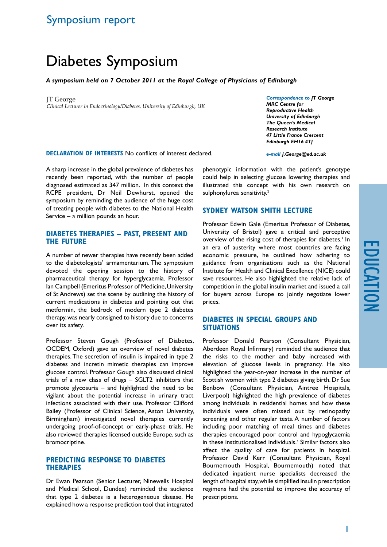# education

## Symposium report

# Diabetes Symposium

### *A symposium held on 7 October 2011 at the Royal College of Physicians of Edinburgh*

JT George *Clinical Lecturer in Endocrinology/Diabetes, University of Edinburgh, UK*

*Correspondence to JT George MRC Centre for Reproductive Health University of Edinburgh The Queen's Medical Research Institute 47 Little France Crescent Edinburgh EH16 4TJ*

**Declaration of Interests** No conflicts of interest declared. *e-mail J.George@ed.ac.uk*

A sharp increase in the global prevalence of diabetes has recently been reported, with the number of people diagnosed estimated as 347 million.<sup>1</sup> In this context the RCPE president, Dr Neil Dewhurst, opened the symposium by reminding the audience of the huge cost of treating people with diabetes to the National Health Service – a million pounds an hour.

### **Diabetes therapies – past, present and the future**

A number of newer therapies have recently been added to the diabetologists' armamentarium. The symposium devoted the opening session to the history of pharmaceutical therapy for hyperglycaemia. Professor Ian Campbell (Emeritus Professor of Medicine, University of St Andrews) set the scene by outlining the history of current medications in diabetes and pointing out that metformin, the bedrock of modern type 2 diabetes therapy, was nearly consigned to history due to concerns over its safety.

Professor Steven Gough (Professor of Diabetes, OCDEM, Oxford) gave an overview of novel diabetes therapies. The secretion of insulin is impaired in type 2 diabetes and incretin mimetic therapies can improve glucose control. Professor Gough also discussed clinical trials of a new class of drugs – SGLT2 inhibitors that promote glycosuria – and highlighted the need to be vigilant about the potential increase in urinary tract infections associated with their use. Professor Clifford Bailey (Professor of Clinical Science, Aston University, Birmingham) investigated novel therapies currently undergoing proof-of-concept or early-phase trials. He also reviewed therapies licensed outside Europe, such as bromocriptine.

### **Predicting response to diabetes therapies**

Dr Ewan Pearson (Senior Lecturer, Ninewells Hospital and Medical School, Dundee) reminded the audience that type 2 diabetes is a heterogeneous disease. He explained how a response prediction tool that integrated

phenotypic information with the patient's genotype could help in selecting glucose lowering therapies and illustrated this concept with his own research on sulphonylurea sensitivity.<sup>2</sup>

### **Sydney Watson Smith Lecture**

Professor Edwin Gale (Emeritus Professor of Diabetes, University of Bristol) gave a critical and perceptive overview of the rising cost of therapies for diabetes.<sup>3</sup> In an era of austerity where most countries are facing economic pressure, he outlined how adhering to guidance from organisations such as the National Institute for Health and Clinical Excellence (NICE) could save resources. He also highlighted the relative lack of competition in the global insulin market and issued a call for buyers across Europe to jointly negotiate lower prices.

### **Diabetes in special groups and situations**

Professor Donald Pearson (Consultant Physician, Aberdeen Royal Infirmary) reminded the audience that the risks to the mother and baby increased with elevation of glucose levels in pregnancy. He also highlighted the year-on-year increase in the number of Scottish women with type 2 diabetes giving birth. Dr Sue Benbow (Consultant Physician, Aintree Hospitals, Liverpool) highlighted the high prevalence of diabetes among individuals in residential homes and how these individuals were often missed out by retinopathy screening and other regular tests. A number of factors including poor matching of meal times and diabetes therapies encouraged poor control and hypoglycaemia in these institutionalised individuals.4 Similar factors also affect the quality of care for patients in hospital. Professor David Kerr (Consultant Physician, Royal Bournemouth Hospital, Bournemouth) noted that dedicated inpatient nurse specialists decreased the length of hospital stay, while simplified insulin prescription regimens had the potential to improve the accuracy of prescriptions.